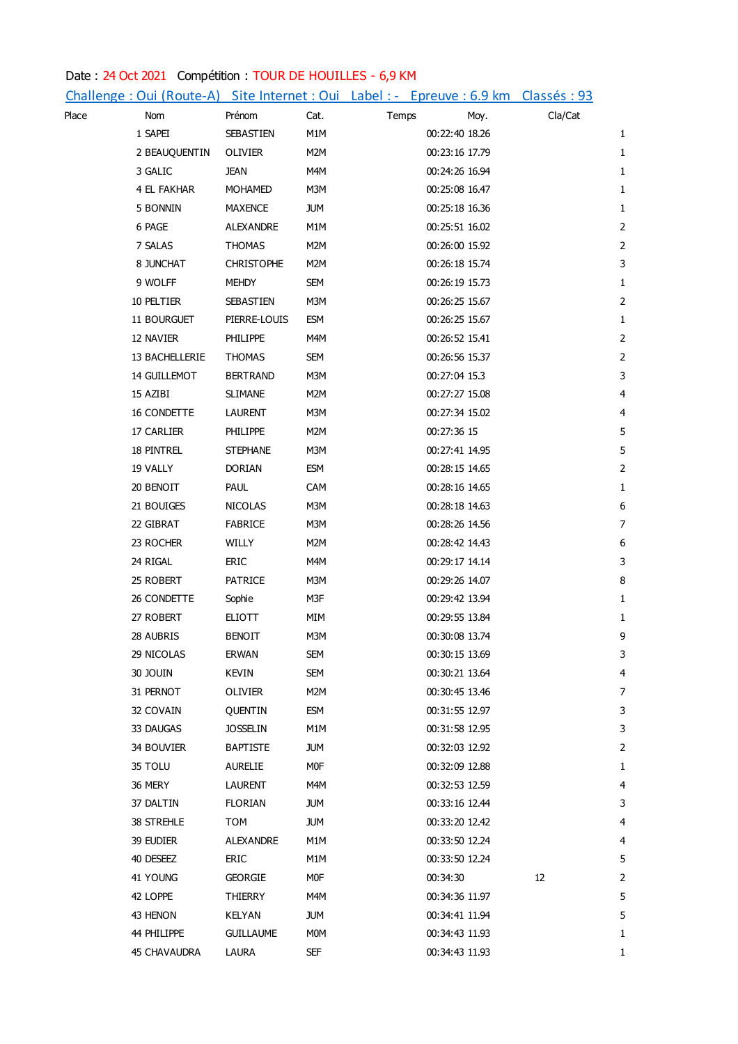## Date : 24 Oct 2021 Compétition : TOUR DE HOUILLES - 6,9 KM

|       |                     |                   |            |       | Challenge : Oui (Route-A) Site Internet : Oui Label : - Epreuve : 6.9 km Classés : 93 |         |                |
|-------|---------------------|-------------------|------------|-------|---------------------------------------------------------------------------------------|---------|----------------|
| Place | Nom                 | Prénom            | Cat.       | Temps | Moy.                                                                                  | Cla/Cat |                |
|       | 1 SAPEI             | SEBASTIEN         | M1M        |       | 00:22:40 18.26                                                                        |         | 1              |
|       | 2 BEAUQUENTIN       | OLIVIER           | M2M        |       | 00:23:16 17.79                                                                        |         | $\mathbf{1}$   |
|       | 3 GALIC             | <b>JEAN</b>       | M4M        |       | 00:24:26 16.94                                                                        |         | $\mathbf{1}$   |
|       | 4 EL FAKHAR         | <b>MOHAMED</b>    | M3M        |       | 00:25:08 16.47                                                                        |         | $\mathbf{1}$   |
|       | 5 BONNIN            | <b>MAXENCE</b>    | <b>JUM</b> |       | 00:25:18 16.36                                                                        |         | $\mathbf{1}$   |
|       | 6 PAGE              | ALEXANDRE         | M1M        |       | 00:25:51 16.02                                                                        |         | $\mathbf 2$    |
|       | 7 SALAS             | <b>THOMAS</b>     | M2M        |       | 00:26:00 15.92                                                                        |         | $\overline{2}$ |
|       | 8 JUNCHAT           | <b>CHRISTOPHE</b> | M2M        |       | 00:26:18 15.74                                                                        |         | 3              |
|       | 9 WOLFF             | MEHDY             | <b>SEM</b> |       | 00:26:19 15.73                                                                        |         | $\mathbf{1}$   |
|       | 10 PELTIER          | SEBASTIEN         | M3M        |       | 00:26:25 15.67                                                                        |         | $\mathbf 2$    |
|       | 11 BOURGUET         | PIERRE-LOUIS      | <b>ESM</b> |       | 00:26:25 15.67                                                                        |         | $\mathbf{1}$   |
|       | 12 NAVIER           | <b>PHILIPPE</b>   | M4M        |       | 00:26:52 15.41                                                                        |         | $\mathbf 2$    |
|       | 13 BACHELLERIE      | <b>THOMAS</b>     | <b>SEM</b> |       | 00:26:56 15.37                                                                        |         | $\overline{2}$ |
|       | 14 GUILLEMOT        | <b>BERTRAND</b>   | M3M        |       | 00:27:04 15.3                                                                         |         | $\mathsf{3}$   |
|       | 15 AZIBI            | <b>SLIMANE</b>    | M2M        |       | 00:27:27 15.08                                                                        |         | $\overline{4}$ |
|       | 16 CONDETTE         | LAURENT           | M3M        |       | 00:27:34 15.02                                                                        |         | $\overline{4}$ |
|       | 17 CARLIER          | <b>PHILIPPE</b>   | M2M        |       | 00:27:36 15                                                                           |         | 5              |
|       | 18 PINTREL          | <b>STEPHANE</b>   | M3M        |       | 00:27:41 14.95                                                                        |         | 5              |
|       | 19 VALLY            | <b>DORIAN</b>     | <b>ESM</b> |       | 00:28:15 14.65                                                                        |         | $\overline{2}$ |
|       | 20 BENOIT           | <b>PAUL</b>       | CAM        |       | 00:28:16 14.65                                                                        |         | $\mathbf{1}$   |
|       | 21 BOUIGES          | <b>NICOLAS</b>    | M3M        |       | 00:28:18 14.63                                                                        |         | 6              |
|       | 22 GIBRAT           | <b>FABRICE</b>    | M3M        |       | 00:28:26 14.56                                                                        |         | $\overline{7}$ |
|       | 23 ROCHER           | WILLY             | M2M        |       | 00:28:42 14.43                                                                        |         | 6              |
|       | 24 RIGAL            | ERIC              | M4M        |       | 00:29:17 14.14                                                                        |         | 3              |
|       | 25 ROBERT           | <b>PATRICE</b>    | M3M        |       | 00:29:26 14.07                                                                        |         | 8              |
|       | 26 CONDETTE         | Sophie            | M3F        |       | 00:29:42 13.94                                                                        |         | 1              |
|       | 27 ROBERT           | <b>ELIOTT</b>     | MIM        |       | 00:29:55 13.84                                                                        |         | $\mathbf{1}$   |
|       | 28 AUBRIS           | <b>BENOIT</b>     | M3M        |       | 00:30:08 13.74                                                                        |         | 9              |
|       | 29 NICOLAS          | ERWAN             | <b>SEM</b> |       | 00:30:15 13.69                                                                        |         | 3              |
|       | 30 JOUIN            | KEVIN             | <b>SEM</b> |       | 00:30:21 13.64                                                                        |         | 4              |
|       | 31 PERNOT           | <b>OLIVIER</b>    | M2M        |       | 00:30:45 13.46                                                                        |         | 7              |
|       | 32 COVAIN           | QUENTIN           | <b>ESM</b> |       | 00:31:55 12.97                                                                        |         | 3              |
|       | 33 DAUGAS           | <b>JOSSELIN</b>   | M1M        |       | 00:31:58 12.95                                                                        |         | 3              |
|       | 34 Bouvier          | <b>BAPTISTE</b>   | <b>JUM</b> |       | 00:32:03 12.92                                                                        |         | 2              |
|       | 35 TOLU             | AURELIE           | <b>MOF</b> |       | 00:32:09 12.88                                                                        |         | 1              |
|       | 36 MERY             | LAURENT           | M4M        |       | 00:32:53 12.59                                                                        |         | $\overline{4}$ |
|       | 37 DALTIN           | <b>FLORIAN</b>    | <b>JUM</b> |       | 00:33:16 12.44                                                                        |         | 3              |
|       | 38 STREHLE          | TOM               | <b>JUM</b> |       | 00:33:20 12.42                                                                        |         | 4              |
|       | 39 EUDIER           | <b>ALEXANDRE</b>  | M1M        |       | 00:33:50 12.24                                                                        |         | 4              |
|       | 40 DESEEZ           | ERIC              | M1M        |       | 00:33:50 12.24                                                                        |         | 5              |
|       | 41 YOUNG            | <b>GEORGIE</b>    | MOF        |       | 00:34:30                                                                              | 12      | 2              |
|       | 42 LOPPE            | <b>THIERRY</b>    | M4M        |       | 00:34:36 11.97                                                                        |         | 5              |
|       | 43 HENON            | <b>KELYAN</b>     | <b>JUM</b> |       | 00:34:41 11.94                                                                        |         | 5              |
|       | 44 PHILIPPE         | <b>GUILLAUME</b>  | <b>MOM</b> |       | 00:34:43 11.93                                                                        |         | 1              |
|       | <b>45 CHAVAUDRA</b> | LAURA             | SEF        |       | 00:34:43 11.93                                                                        |         | 1              |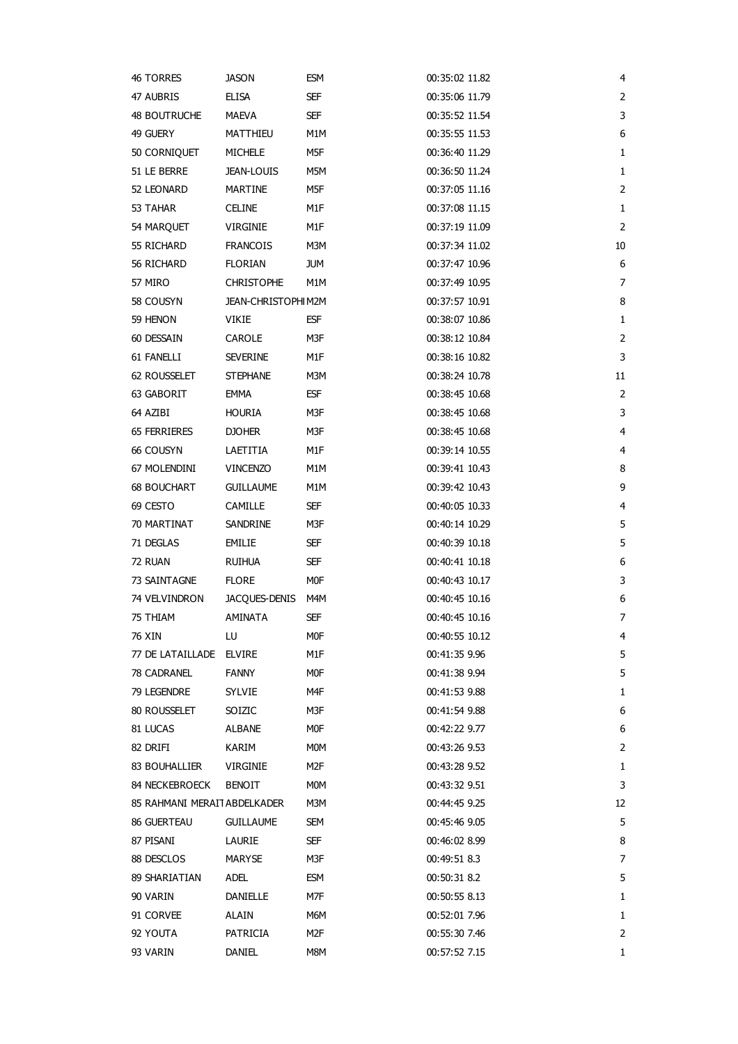| 46 Torres                    | <b>JASON</b>              | ESM        | 00:35:02 11.82 | 4              |
|------------------------------|---------------------------|------------|----------------|----------------|
| 47 AUBRIS                    | <b>ELISA</b>              | SEF        | 00:35:06 11.79 | $\overline{2}$ |
| 48 BOUTRUCHE                 | MAEVA                     | SEF        | 00:35:52 11.54 | 3              |
| 49 GUERY                     | MATTHIEU                  | M1M        | 00:35:55 11.53 | 6              |
| 50 CORNIQUET                 | <b>MICHELE</b>            | M5F        | 00:36:40 11.29 | 1              |
| 51 LE BERRE                  | <b>JEAN-LOUIS</b>         | M5M        | 00:36:50 11.24 | 1              |
| 52 LEONARD                   | <b>MARTINE</b>            | M5F        | 00:37:05 11.16 | $\overline{2}$ |
| 53 TAHAR                     | <b>CELINE</b>             | M1F        | 00:37:08 11.15 | 1              |
| 54 MARQUET                   | VIRGINIE                  | M1F        | 00:37:19 11.09 | $\overline{2}$ |
| 55 RICHARD                   | <b>FRANCOIS</b>           | M3M        | 00:37:34 11.02 | 10             |
| 56 RICHARD                   | <b>FLORIAN</b>            | <b>JUM</b> | 00:37:47 10.96 | 6              |
| 57 MIRO                      | <b>CHRISTOPHE</b>         | M1M        | 00:37:49 10.95 | 7              |
| 58 COUSYN                    | <b>JEAN-CHRISTOPHIM2M</b> |            | 00:37:57 10.91 | 8              |
| 59 HENON                     | VIKIE                     | ESF        | 00:38:07 10.86 | 1              |
| 60 DESSAIN                   | CAROLE                    | M3F        | 00:38:12 10.84 | $\overline{2}$ |
| 61 FANELLI                   | <b>SEVERINE</b>           | M1F        | 00:38:16 10.82 | 3              |
| 62 ROUSSELET                 | <b>STEPHANE</b>           | M3M        | 00:38:24 10.78 | 11             |
| 63 GABORIT                   | <b>EMMA</b>               | ESF        | 00:38:45 10.68 | $\overline{2}$ |
| 64 AZIBI                     | HOURIA                    | M3F        | 00:38:45 10.68 | 3              |
| 65 FERRIERES                 | <b>DJOHER</b>             | M3F        | 00:38:45 10.68 | $\overline{4}$ |
| 66 COUSYN                    | LAETITIA                  | M1F        | 00:39:14 10.55 | $\overline{4}$ |
| 67 Molendini                 | <b>VINCENZO</b>           | M1M        | 00:39:41 10.43 | 8              |
| <b>68 BOUCHART</b>           | <b>GUILLAUME</b>          | M1M        | 00:39:42 10.43 | 9              |
| 69 CESTO                     | CAMILLE                   | SEF        | 00:40:05 10.33 | $\overline{4}$ |
| 70 MARTINAT                  |                           | M3F        | 00:40:14 10.29 | 5              |
| 71 DEGLAS                    | SANDRINE<br><b>EMILIE</b> | SEF        | 00:40:39 10.18 | 5              |
| 72 RUAN                      | <b>RUIHUA</b>             |            | 00:40:41 10.18 | 6              |
|                              |                           | SEF        |                | 3              |
| 73 SAINTAGNE                 | <b>FLORE</b>              | MOF        | 00:40:43 10.17 |                |
| 74 VELVINDRON                | JACQUES-DENIS             | M4M        | 00:40:45 10.16 | 6              |
| 75 THIAM                     | AMINATA                   | SEF        | 00:40:45 10.16 | 7              |
| 76 XIN                       | LU                        | MOF        | 00:40:55 10.12 | 4              |
| 77 DE LATAILLADE ELVIRE      |                           | M1F        | 00:41:35 9.96  | 5              |
| 78 CADRANEL                  | <b>FANNY</b>              | M0F        | 00:41:38 9.94  | 5              |
| 79 LEGENDRE                  | <b>SYLVIE</b>             | M4F        | 00:41:53 9.88  | 1              |
| 80 ROUSSELET                 | SOIZIC                    | M3F        | 00:41:54 9.88  | 6              |
| 81 LUCAS                     | ALBANE                    | M0F        | 00:42:22 9.77  | 6              |
| 82 DRIFI                     | KARIM                     | MOM        | 00:43:26 9.53  | 2              |
| 83 BOUHALLIER                | <b>VIRGINIE</b>           | M2F        | 00:43:28 9.52  | 1              |
| 84 NECKEBROECK               | <b>BENOIT</b>             | MOM        | 00:43:32 9.51  | 3              |
| 85 RAHMANI MERAIT ABDELKADER |                           | M3M        | 00:44:45 9.25  | 12             |
| 86 GUERTEAU                  | <b>GUILLAUME</b>          | SEM        | 00:45:46 9.05  | 5              |
| 87 PISANI                    | LAURIE                    | SEF.       | 00:46:02 8.99  | 8              |
| 88 DESCLOS                   | MARYSE                    | M3F        | 00:49:51 8.3   | 7              |
| 89 SHARIATIAN                | ADEL                      | ESM        | 00:50:31 8.2   | 5              |
| 90 VARIN                     | <b>DANIELLE</b>           | M7F        | 00:50:55 8.13  | 1              |
| 91 CORVEE                    | <b>ALAIN</b>              | M6M        | 00:52:01 7.96  | 1              |
| 92 YOUTA                     | PATRICIA                  | M2F        | 00:55:30 7.46  | 2              |
| 93 VARIN                     | DANIEL                    | M8M        | 00:57:52 7.15  | 1              |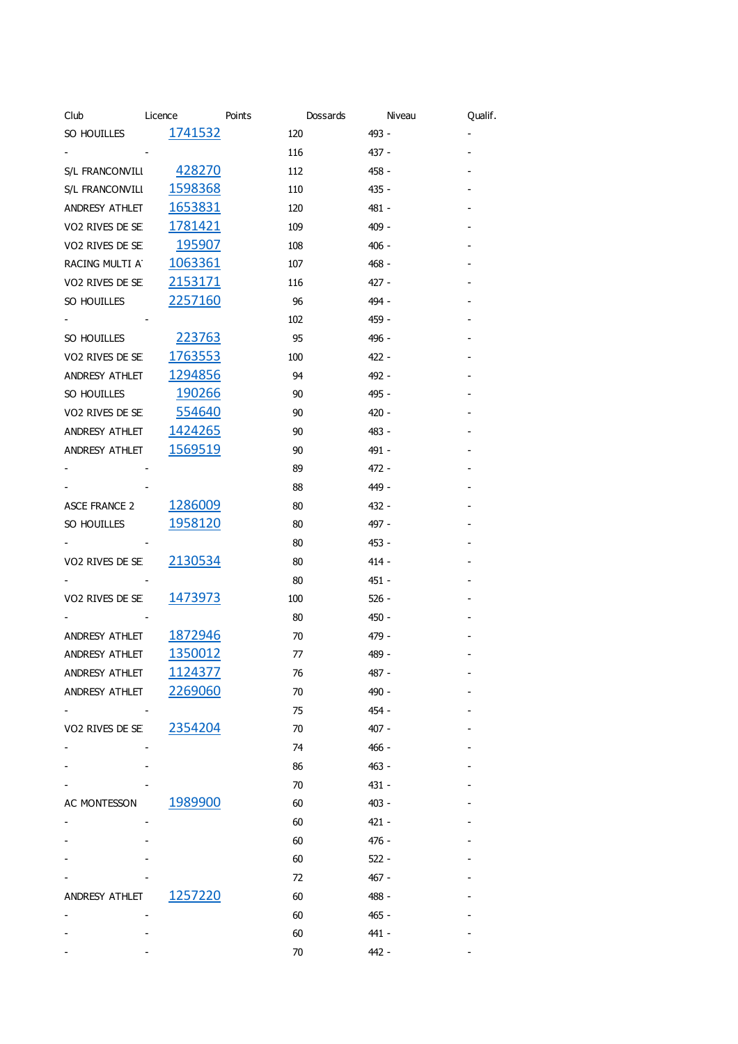| Club                 | Licence         | Points | Dossards | Niveau | Qualif. |
|----------------------|-----------------|--------|----------|--------|---------|
| SO HOUILLES          | 1741532         | 120    | 493 -    |        |         |
|                      |                 | 116    | 437 -    |        |         |
| S/L FRANCONVILI      | 428270          | 112    | 458 -    |        |         |
| S/L FRANCONVILI      | 1598368         | 110    | 435 -    |        |         |
| ANDRESY ATHLET       | 1653831         | 120    | 481 -    |        |         |
| VO2 RIVES DE SE      | <u>1781421</u>  | 109    | 409 -    |        |         |
| VO2 RIVES DE SE      | 195907          | 108    | $406 -$  |        |         |
| RACING MULTI AT      | 1063361         | 107    | $468 -$  |        |         |
| VO2 RIVES DE SE      | 2153171         | 116    | 427 -    |        |         |
| SO HOUILLES          | 2257160         | 96     | 494 -    |        |         |
|                      |                 | 102    | 459 -    |        |         |
| SO HOUILLES          | <u> 223763</u>  | 95     | 496 -    |        |         |
| VO2 RIVES DE SE      | 1763553         | 100    | 422 -    |        |         |
| ANDRESY ATHLET       | 1294856         | 94     | 492 -    |        |         |
| SO HOUILLES          | <u>190266</u>   | 90     | 495 -    |        |         |
| VO2 RIVES DE SE      | <u>554640</u>   | 90     | $420 -$  |        |         |
| ANDRESY ATHLET       | 1424265         | 90     | 483 -    |        |         |
| ANDRESY ATHLET       | <u>1569519</u>  | 90     | 491 -    |        |         |
|                      |                 | 89     | 472 -    |        |         |
|                      |                 | 88     | 449 -    |        |         |
| <b>ASCE FRANCE 2</b> | 1286009         | 80     | 432 -    |        |         |
| SO HOUILLES          | 1958120         | 80     | 497 -    |        |         |
|                      |                 | 80     | 453 -    |        |         |
| VO2 RIVES DE SE      | 2130534         | 80     | $414 -$  |        |         |
|                      |                 | 80     | $451 -$  |        |         |
| VO2 RIVES DE SE      | 1473973         | 100    | $526 -$  |        |         |
|                      |                 | 80     | $450 -$  |        |         |
| ANDRESY ATHLET       | 1872946         | 70     | 479 -    |        |         |
| ANDRESY ATHLET       | 1350012         | 77     | 489 -    |        |         |
| ANDRESY ATHLET       | <u> 1124377</u> | 76     | 487 -    |        |         |
| ANDRESY ATHLET       | 2269060         | 70     | 490 -    |        |         |
|                      |                 | 75     | 454 -    |        |         |
| VO2 RIVES DE SE      | 2354204         | 70     | $407 -$  |        |         |
|                      |                 | 74     | - 466    |        |         |
|                      |                 | 86     | 463 -    |        |         |
|                      |                 | 70     | $431 -$  |        |         |
| AC MONTESSON         | 1989900         | 60     | $403 -$  |        |         |
|                      |                 | 60     | $421 -$  |        |         |
|                      |                 | 60     | $476 -$  |        |         |
|                      |                 | 60     | $522 -$  |        |         |
|                      |                 | 72     | 467 -    |        |         |
| ANDRESY ATHLET       | 1257220         | 60     | 488 -    |        |         |
|                      |                 | 60     | 465 -    |        |         |
|                      |                 | 60     | 441 -    |        |         |
|                      |                 | 70     | 442 -    |        |         |